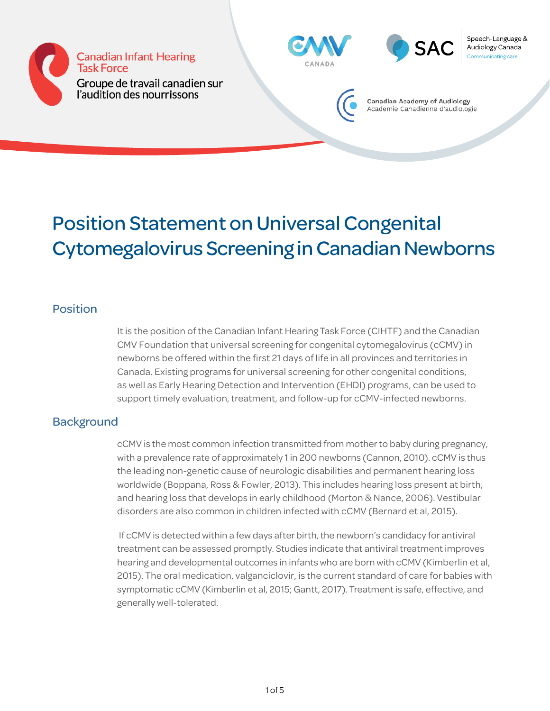





Speech-Language & Audiology Canada



Canadian Academy of Audiology Academie Canadienne d'audiologie

## Position Statement on Universal Congenital Cytomegalovirus Screening in Canadian Newborns

## Position

It is the position of the Canadian Infant Hearing Task Force (CIHTF) and the Canadian CMV Foundation that universal screening for congenital cytomegalovirus (cCMV) in newborns be offered within the first 21 days of life in all provinces and territories in Canada. Existing programs for universal screening for other congenital conditions, as well as Early Hearing Detection and Intervention (EHDI) programs, can be used to support timely evaluation, treatment, and follow-up for cCMV-infected newborns.

## **Background**

cCMV is the most common infection transmitted from mother to baby during pregnancy, with a prevalence rate of approximately 1 in 200 newborns (Cannon, 2010). cCMV is thus the leading non-genetic cause of neurologic disabilities and permanent hearing loss worldwide (Boppana, Ross & Fowler, 2013). This includes hearing loss present at birth, and hearing loss that develops in early childhood (Morton & Nance, 2006). Vestibular disorders are also common in children infected with cCMV (Bernard et al, 2015).

 If cCMV is detected within a few days after birth, the newborn's candidacy for antiviral treatment can be assessed promptly. Studies indicate that antiviral treatment improves hearing and developmental outcomes in infants who are born with cCMV (Kimberlin et al, 2015). The oral medication, valganciclovir, is the current standard of care for babies with symptomatic cCMV (Kimberlin et al, 2015; Gantt, 2017). Treatment is safe, effective, and generally well-tolerated.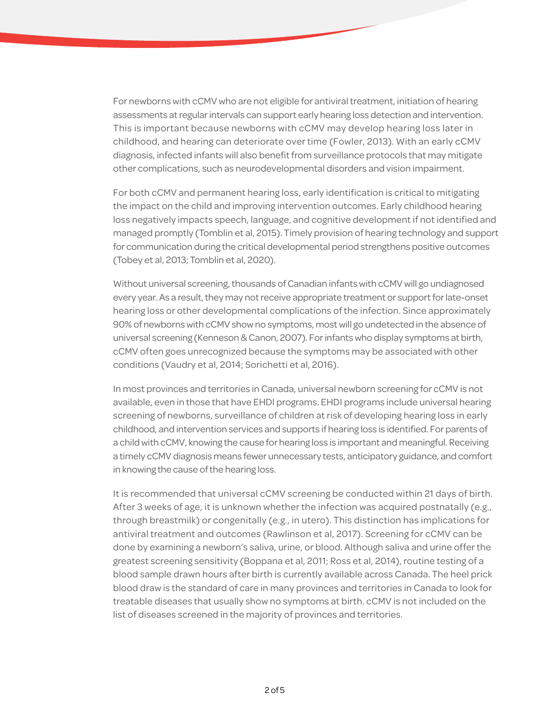For newborns with cCMV who are not eligible for antiviral treatment, initiation of hearing assessments at regular intervals can support early hearing loss detection and intervention. This is important because newborns with cCMV may develop hearing loss later in childhood, and hearing can deteriorate over time (Fowler, 2013). With an early cCMV diagnosis, infected infants will also benefit from surveillance protocols that may mitigate other complications, such as neurodevelopmental disorders and vision impairment.

For both cCMV and permanent hearing loss, early identification is critical to mitigating the impact on the child and improving intervention outcomes. Early childhood hearing loss negatively impacts speech, language, and cognitive development if not identified and managed promptly (Tomblin et al, 2015). Timely provision of hearing technology and support for communication during the critical developmental period strengthens positive outcomes (Tobey et al, 2013; Tomblin et al, 2020).

Without universal screening, thousands of Canadian infants with cCMV will go undiagnosed every year. As a result, they may not receive appropriate treatment or support for late-onset hearing loss or other developmental complications of the infection. Since approximately 90% of newborns with cCMV show no symptoms, most will go undetected in the absence of universal screening (Kenneson & Canon, 2007). For infants who display symptoms at birth, cCMV often goes unrecognized because the symptoms may be associated with other conditions (Vaudry et al, 2014; Sorichetti et al, 2016).

In most provinces and territories in Canada, universal newborn screening for cCMV is not available, even in those that have EHDI programs. EHDI programs include universal hearing screening of newborns, surveillance of children at risk of developing hearing loss in early childhood, and intervention services and supports if hearing loss is identified. For parents of a child with cCMV, knowing the cause for hearing loss is important and meaningful. Receiving a timely cCMV diagnosis means fewer unnecessary tests, anticipatory guidance, and comfort in knowing the cause of the hearing loss.

It is recommended that universal cCMV screening be conducted within 21 days of birth. After 3 weeks of age, it is unknown whether the infection was acquired postnatally (e.g., through breastmilk) or congenitally (e.g., in utero). This distinction has implications for antiviral treatment and outcomes (Rawlinson et al, 2017). Screening for cCMV can be done by examining a newborn's saliva, urine, or blood. Although saliva and urine offer the greatest screening sensitivity (Boppana et al, 2011; Ross et al, 2014), routine testing of a blood sample drawn hours after birth is currently available across Canada. The heel prick blood draw is the standard of care in many provinces and territories in Canada to look for treatable diseases that usually show no symptoms at birth. cCMV is not included on the list of diseases screened in the majority of provinces and territories.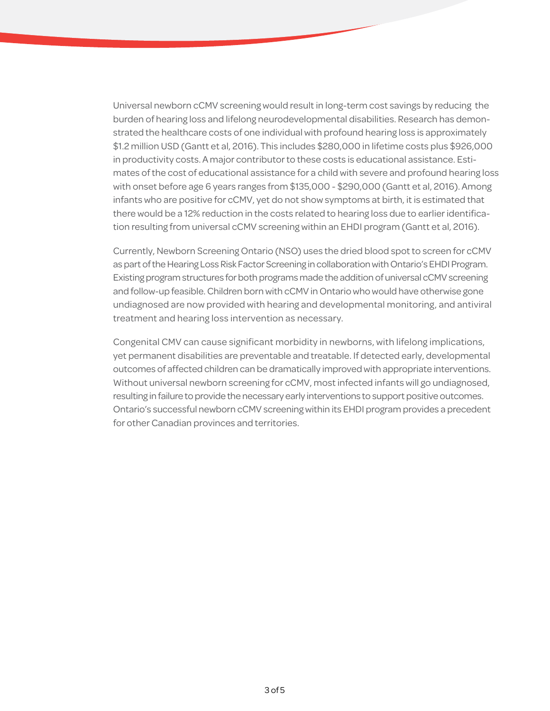Universal newborn cCMV screening would result in long-term cost savings by reducing the burden of hearing loss and lifelong neurodevelopmental disabilities. Research has demonstrated the healthcare costs of one individual with profound hearing loss is approximately \$1.2 million USD (Gantt et al, 2016). This includes \$280,000 in lifetime costs plus \$926,000 in productivity costs. A major contributor to these costs is educational assistance. Estimates of the cost of educational assistance for a child with severe and profound hearing loss with onset before age 6 years ranges from \$135,000 - \$290,000 (Gantt et al, 2016). Among infants who are positive for cCMV, yet do not show symptoms at birth, it is estimated that there would be a 12% reduction in the costs related to hearing loss due to earlier identification resulting from universal cCMV screening within an EHDI program (Gantt et al, 2016).

Currently, Newborn Screening Ontario (NSO) uses the dried blood spot to screen for cCMV as part of the Hearing Loss Risk Factor Screening in collaboration with Ontario's EHDI Program. Existing program structures for both programs made the addition of universal cCMV screening and follow-up feasible. Children born with cCMV in Ontario who would have otherwise gone undiagnosed are now provided with hearing and developmental monitoring, and antiviral treatment and hearing loss intervention as necessary.

Congenital CMV can cause significant morbidity in newborns, with lifelong implications, yet permanent disabilities are preventable and treatable. If detected early, developmental outcomes of affected children can be dramatically improved with appropriate interventions. Without universal newborn screening for cCMV, most infected infants will go undiagnosed, resulting in failure to provide the necessary early interventions to support positive outcomes. Ontario's successful newborn cCMV screening within its EHDI program provides a precedent for other Canadian provinces and territories.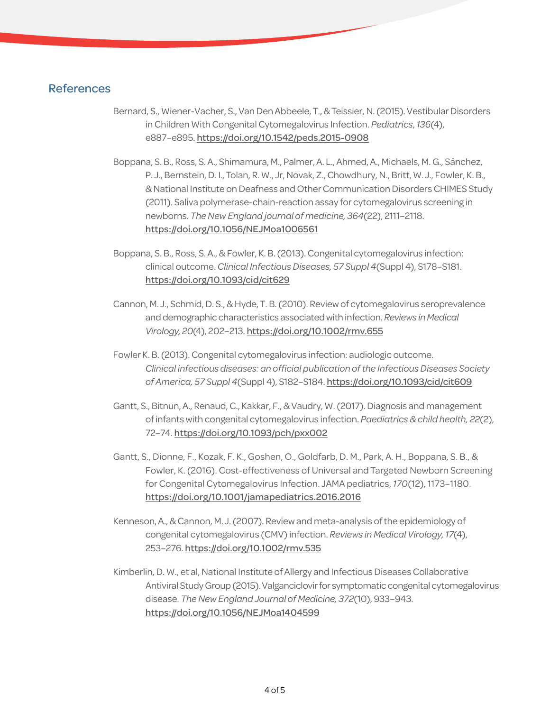## References

- Bernard, S., Wiener-Vacher, S., Van Den Abbeele, T., & Teissier, N. (2015). Vestibular Disorders in Children With Congenital Cytomegalovirus Infection. *Pediatrics*, *136*(4), e887–e895. <https://doi.org/10.1542/peds.2015-0908>
- Boppana, S. B., Ross, S. A., Shimamura, M., Palmer, A. L., Ahmed, A., Michaels, M. G., Sánchez, P. J., Bernstein, D. I., Tolan, R. W., Jr, Novak, Z., Chowdhury, N., Britt, W. J., Fowler, K. B., & National Institute on Deafness and Other Communication Disorders CHIMES Study (2011). Saliva polymerase-chain-reaction assay for cytomegalovirus screening in newborns. *The New England journal of medicine, 364*(22), 2111–2118. [https://doi.org/10.1056/NEJMoa1006561](https://doi.org/10.1056/NEJMoa1006561 )
- Boppana, S. B., Ross, S. A., & Fowler, K. B. (2013). Congenital cytomegalovirus infection: clinical outcome. *Clinical Infectious Diseases, 57 Suppl 4*(Suppl 4), S178–S181. <https://doi.org/10.1093/cid/cit629>
- Cannon, M. J., Schmid, D. S., & Hyde, T. B. (2010). Review of cytomegalovirus seroprevalence and demographic characteristics associated with infection. *Reviews in Medical Virology, 20*(4), 202–213. <https://doi.org/10.1002/rmv.655>
- Fowler K. B. (2013). Congenital cytomegalovirus infection: audiologic outcome. *Clinical infectious diseases: an official publication of the Infectious Diseases Society of America, 57 Suppl 4*(Suppl 4), S182–S184. <https://doi.org/10.1093/cid/cit609>
- Gantt, S., Bitnun, A., Renaud, C., Kakkar, F., & Vaudry, W. (2017). Diagnosis and management of infants with congenital cytomegalovirus infection. *Paediatrics & child health, 22*(2), 72–74. <https://doi.org/10.1093/pch/pxx002>
- Gantt, S., Dionne, F., Kozak, F. K., Goshen, O., Goldfarb, D. M., Park, A. H., Boppana, S. B., & Fowler, K. (2016). Cost-effectiveness of Universal and Targeted Newborn Screening for Congenital Cytomegalovirus Infection. JAMA pediatrics, *170*(12), 1173–1180. <https://doi.org/10.1001/jamapediatrics.2016.2016>
- Kenneson, A., & Cannon, M. J. (2007). Review and meta-analysis of the epidemiology of congenital cytomegalovirus (CMV) infection. *Reviews in Medical Virology, 17*(4), 253–276. <https://doi.org/10.1002/rmv.535>
- Kimberlin, D. W., et al, National Institute of Allergy and Infectious Diseases Collaborative Antiviral Study Group (2015). Valganciclovir for symptomatic congenital cytomegalovirus disease. *The New England Journal of Medicine, 372*(10), 933–943. <https://doi.org/10.1056/NEJMoa1404599>